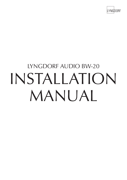

# LS-1000  $L_{L}$ LYNGDORF AUDIO BW-20 INSTALLATION MANUAL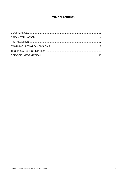#### **TABLE OF CONTENTS**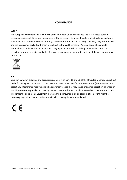#### **COMPLIANCE**

#### **WEEE**

The European Parliament and the Council of the European Union have issued the Waste Electrical and Electronic Equipment Directive. The purpose of the Directive is to prevent waste of electrical and electronic equipment and to promote reuse, recycling, and other forms of waste recovery. Steinway Lyngdorf products and the accessories packed with them are subject to the WEEE Directive. Please dispose of any waste materials in accordance with your local recycling regulations. Products and equipment which must be collected for reuse, recycling, and other forms of recovery are marked with the icon of the crossed-out waste receptacle.



#### **FCC**

Steinway Lyngdorf products and accessories comply with parts 15 and 68 of the FCC rules. Operation is subject to the following two conditions: (1) this device may not cause harmful interference; and (2) this device must accept any interference received, including any interference that may cause undesired operation. Changes or modifications not expressly approved by the party responsible for compliance could void the user's authority to operate the equipment. Equipment marketed to a consumer must be capable of complying with the necessary regulations in the configuration in which the equipment is marketed.

# $\epsilon$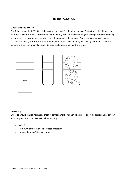#### **PRE-INSTALLATION**

#### **Unpacking the BW-20**

Carefully remove the BW-20 from the carton and check for shipping damage. Contact both the shipper and your local Lyngdorf Audio representative immediately if the unit bears any sign of damage from mishandling. In some cases, it may be necessary to return the equipment to Lyngdorf Audio or an authorized service provider for repair; therefore, it is recommended that you save your original packing materials. If this unit is shipped without the original packing, damage could occur and void the warranty.





#### **Inventory**

Check to ensure that all necessary product components have been delivered. Report all discrepancies to your local Lyngdorf Audio representative immediately.

- BW-20
- 4 x mounting feet with spike / floor protector
- 1 x Neutrik speakON cable connector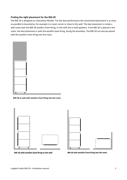#### **Finding the right placement for the BW-20**

The BW-20 is designed as a Boundary Woofer. For the best performance the recommend placement is as close as possible to boundaries, for example in a room corner or close to the wall. The best placement is inside a wall cavity with the BW-20 woofers front-firing, in-line with the in-wall speakers. If the BW-20 is placed in the room, the best placement is with the woofers back-firing, facing the boundary. The BW-20 can also be placed with the woofers front-firing into the room.



**BW-20 in-wall with woofers front-firing into the room**



BW-20 with woofers back-firing to the wall



BW-20 with woofers front-firing into the room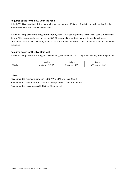#### **Required space for the BW-20 in the room**

If the BW-20 is placed back-firing to a wall, leave a minimum of 50 mm / 2 inch to the wall to allow for the woofer excursion and soundwaves to emit.

If the BW-20 is placed front-firing into the room, place it as close as possible to the wall. Leave a minimum of 10 mm / 0.4 inch space to the wall so the BW-20 is not making contact, in order to avoid mechanical resonance. Leave an extra 30 mm / 1.2 inch space in front of the BW-20's own cabinet to allow for the woofer excursion.

#### **Required space for the BW-20 in-wall**

If the BW-20 is placed front-firing in a wall opening, the minimum space required including mounting feet is:

|              | Width                            | Height             | Depth            |
|--------------|----------------------------------|--------------------|------------------|
| <b>BW-20</b> | $-1$<br>450<br>mm<br><u>+1.1</u> | / 29"<br>734<br>mm | 11.8''<br>300 mm |

#### **Cables**

Recommended minimum up to 8m / 50ft: AWG 14/2 or 2-lead 2mm2 Recommended minimum from 8m / 50ft and up: AWG 11/2 or 2-lead 4mm2 Recommended maximum: AWG 10/2 or 2-lead 5mm2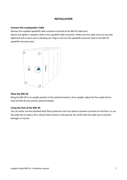#### **INSTALLATION**

#### **Connect the Loudspeaker Cable**

Remove the supplied speakON cable connector inserted at the BW-20 cable port.

Attach and tighten a speaker cable to the speakON cable connector. Make sure the cable ends are securely tightened and no bare wire is standing out. Plug-in and turn the speakON connector back to the BW-20 speakON connector port.



#### **Place the BW-20**

Bring the BW-20 to its upright position in the selected location. Once upright, adjust the four spike feet to level the BW-20 and achieve optimal stability.

#### **Using the feet of the BW-20**

You can either use the attached black floor protectors over the spikes to prevent scratches on the floor, or use the spike tips to make a firm, almost fixed contact to the ground. Be careful with the spike tips to prevent damages or injuries.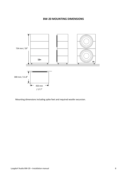### **BW-20 MOUNTING DIMENSIONS**



Mounting dimensions including spike feet and required woofer excursion.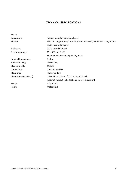## **TECHNICAL SPECIFICATIONS**

| <b>BW-20</b>                          |                                                                     |
|---------------------------------------|---------------------------------------------------------------------|
| Description:                          | Passive boundary woofer, closed                                     |
| Woofer:                               | Two 12" long throw +/- 20mm, 67mm voice coil, aluminum cone, double |
|                                       | spider, vented magnet                                               |
| Enclosure:                            | MDF, closed 64 L net                                                |
| Frequency range:                      | $19 - 500$ Hz (-3 dB)                                               |
|                                       | Frequency extension depending on EQ                                 |
| Nominal Impedance:                    | 4 Ohm                                                               |
| Power handling:                       | 700 W (IEC)                                                         |
| Maximum SPL:                          | 118 dB                                                              |
| Connections:                          | Neutrik speakON                                                     |
| Mounting:                             | Floor standing                                                      |
| Dimensions (W $\times$ H $\times$ D): | 450 x 710 x 270 mm / 17.7 x 28 x 10.6 inch                          |
|                                       | (Cabinet without spike feet and woofer excursion)                   |
| Weight:                               | 35kg / 77 lb                                                        |
| Finish:                               | Matte black                                                         |
|                                       |                                                                     |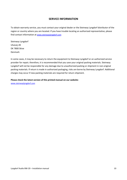#### **SERVICE INFORMATION**

To obtain warranty service, you must contact your original dealer or the Steinway Lyngdorf distributor of the region or country where you are located. If you have trouble locating an authorized representative, please find contact information at www.steinwaylyngdorf.com

Steinway Lyngdorf Ulvevej 28 DK 7800 Skive Denmark

In some cases, it may be necessary to return the equipment to Steinway Lyngdorf or an authorized service provider for repair; therefore, it is recommended that you save your original packing materials. Steinway Lyngdorf will not be responsible for any damage due to unauthorized packing or shipment in non-original packing materials. If return is made in authorized packaging, risks are borne by Steinway Lyngdorf. Additional charges may occur if new packing materials are required for return shipment.

#### **Please check the latest version of this printed manual on our website:**

www.steinwaylyngdorf.com